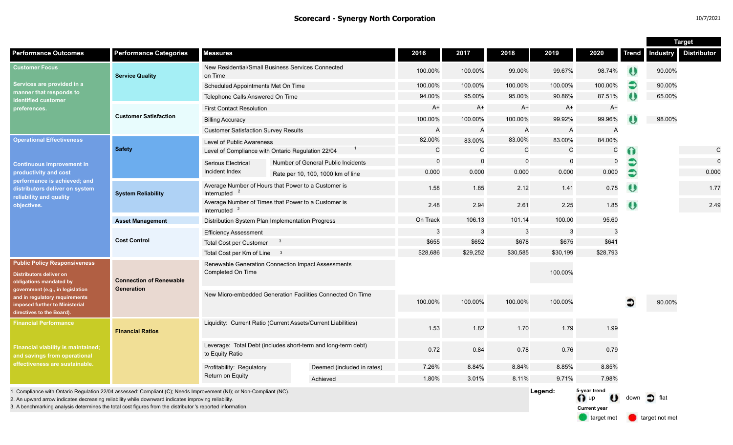|                                                                                                                                                                                                                                                                                                                                        |                                              |                                                                                  |  |                                    |                |                |             |                |                                             |                       | <b>Target</b>   |                    |  |
|----------------------------------------------------------------------------------------------------------------------------------------------------------------------------------------------------------------------------------------------------------------------------------------------------------------------------------------|----------------------------------------------|----------------------------------------------------------------------------------|--|------------------------------------|----------------|----------------|-------------|----------------|---------------------------------------------|-----------------------|-----------------|--------------------|--|
| <b>Performance Outcomes</b>                                                                                                                                                                                                                                                                                                            | <b>Performance Categories</b>                | <b>Measures</b>                                                                  |  |                                    | 2016           | 2017           | 2018        | 2019           | 2020                                        | Trend                 | <b>Industry</b> | <b>Distributor</b> |  |
| <b>Customer Focus</b><br>Services are provided in a<br>manner that responds to<br>identified customer<br>preferences.                                                                                                                                                                                                                  | <b>Service Quality</b>                       | New Residential/Small Business Services Connected<br>on Time                     |  |                                    | 100.00%        | 100.00%        | 99.00%      | 99.67%         | 98.74%                                      | $\boldsymbol{\theta}$ | 90.00%          |                    |  |
|                                                                                                                                                                                                                                                                                                                                        |                                              | Scheduled Appointments Met On Time                                               |  |                                    | 100.00%        | 100.00%        | 100.00%     | 100.00%        | 100.00%                                     | €                     | 90.00%          |                    |  |
|                                                                                                                                                                                                                                                                                                                                        |                                              | Telephone Calls Answered On Time                                                 |  |                                    | 94.00%         | 95.00%         | 95.00%      | 90.86%         | 87.51%                                      | ₩                     | 65.00%          |                    |  |
|                                                                                                                                                                                                                                                                                                                                        | <b>Customer Satisfaction</b>                 | <b>First Contact Resolution</b>                                                  |  |                                    | $A+$           | A+             | A+          | $A+$           | $A+$                                        |                       |                 |                    |  |
|                                                                                                                                                                                                                                                                                                                                        |                                              | <b>Billing Accuracy</b>                                                          |  |                                    | 100.00%        | 100.00%        | 100.00%     | 99.92%         | 99.96%                                      |                       | 98.00%          |                    |  |
|                                                                                                                                                                                                                                                                                                                                        |                                              | <b>Customer Satisfaction Survey Results</b>                                      |  |                                    | $\overline{A}$ | $\overline{A}$ | A           | $\overline{A}$ | $\overline{A}$                              |                       |                 |                    |  |
| <b>Operational Effectiveness</b><br><b>Continuous improvement in</b><br>productivity and cost<br>performance is achieved; and<br>distributors deliver on system<br>reliability and quality<br>objectives.                                                                                                                              | <b>Safety</b>                                | Level of Public Awareness                                                        |  |                                    | 82.00%         | 83.00%         | 83.00%      | 83.00%         | 84.00%                                      |                       |                 |                    |  |
|                                                                                                                                                                                                                                                                                                                                        |                                              | Level of Compliance with Ontario Regulation 22/04                                |  |                                    | C              | C              | C           | C              | С                                           | 0                     |                 | C                  |  |
|                                                                                                                                                                                                                                                                                                                                        |                                              | <b>Serious Electrical</b><br>Incident Index                                      |  | Number of General Public Incidents | $\Omega$       | $\overline{0}$ | $\mathbf 0$ | $\mathbf 0$    | $\mathbf 0$                                 | €                     |                 | $\mathbf 0$        |  |
|                                                                                                                                                                                                                                                                                                                                        |                                              |                                                                                  |  | Rate per 10, 100, 1000 km of line  | 0.000          | 0.000          | 0.000       | 0.000          | 0.000                                       | €                     |                 | 0.000              |  |
|                                                                                                                                                                                                                                                                                                                                        | <b>System Reliability</b>                    | Average Number of Hours that Power to a Customer is<br>Interrupted               |  |                                    | 1.58           | 1.85           | 2.12        | 1.41           | 0.75                                        | O                     |                 | 1.77               |  |
|                                                                                                                                                                                                                                                                                                                                        |                                              | Average Number of Times that Power to a Customer is<br>Interrupted               |  |                                    | 2.48           | 2.94           | 2.61        | 2.25           | 1.85                                        | $\bullet$             |                 | 2.49               |  |
|                                                                                                                                                                                                                                                                                                                                        | <b>Asset Management</b>                      | Distribution System Plan Implementation Progress                                 |  |                                    | On Track       | 106.13         | 101.14      | 100.00         | 95.60                                       |                       |                 |                    |  |
|                                                                                                                                                                                                                                                                                                                                        | <b>Cost Control</b>                          | <b>Efficiency Assessment</b>                                                     |  |                                    | 3              | $\overline{3}$ | 3           | 3              | 3                                           |                       |                 |                    |  |
|                                                                                                                                                                                                                                                                                                                                        |                                              | <b>Total Cost per Customer</b>                                                   |  |                                    | \$655          | \$652          | \$678       | \$675          | \$641                                       |                       |                 |                    |  |
|                                                                                                                                                                                                                                                                                                                                        |                                              | Total Cost per Km of Line 3                                                      |  |                                    | \$28,686       | \$29,252       | \$30,585    | \$30,199       | \$28,793                                    |                       |                 |                    |  |
| <b>Public Policy Responsiveness</b><br><b>Distributors deliver on</b><br>obligations mandated by<br>government (e.g., in legislation<br>and in regulatory requirements<br>imposed further to Ministerial<br>directives to the Board).                                                                                                  | <b>Connection of Renewable</b><br>Generation | Renewable Generation Connection Impact Assessments<br>Completed On Time          |  |                                    |                |                |             | 100.00%        |                                             |                       |                 |                    |  |
|                                                                                                                                                                                                                                                                                                                                        |                                              | New Micro-embedded Generation Facilities Connected On Time                       |  |                                    | 100.00%        | 100.00%        | 100.00%     | 100.00%        |                                             |                       | 90.00%          |                    |  |
| <b>Financial Performance</b><br><b>Financial viability is maintained;</b><br>and savings from operational<br>effectiveness are sustainable.                                                                                                                                                                                            | <b>Financial Ratios</b>                      | Liquidity: Current Ratio (Current Assets/Current Liabilities)                    |  |                                    | 1.53           | 1.82           | 1.70        | 1.79           | 1.99                                        |                       |                 |                    |  |
|                                                                                                                                                                                                                                                                                                                                        |                                              | Leverage: Total Debt (includes short-term and long-term debt)<br>to Equity Ratio |  |                                    | 0.72           | 0.84           | 0.78        | 0.76           | 0.79                                        |                       |                 |                    |  |
|                                                                                                                                                                                                                                                                                                                                        |                                              | Profitability: Regulatory                                                        |  | Deemed (included in rates)         | 7.26%          | 8.84%          | 8.84%       | 8.85%          | 8.85%                                       |                       |                 |                    |  |
|                                                                                                                                                                                                                                                                                                                                        |                                              | Return on Equity                                                                 |  | Achieved                           | 1.80%          | 3.01%          | 8.11%       | 9.71%          | 7.98%                                       |                       |                 |                    |  |
| I. Compliance with Ontario Regulation 22/04 assessed: Compliant (C); Needs Improvement (NI); or Non-Compliant (NC).<br>2. An upward arrow indicates decreasing reliability while downward indicates improving reliability<br>3. A benchmarking analysis determines the total cost figures from the distributor's reported information. |                                              |                                                                                  |  |                                    |                |                |             | Legend:        | 5-year trend<br>O up<br><b>Current year</b> | down                  | flat            |                    |  |

target met **target not met**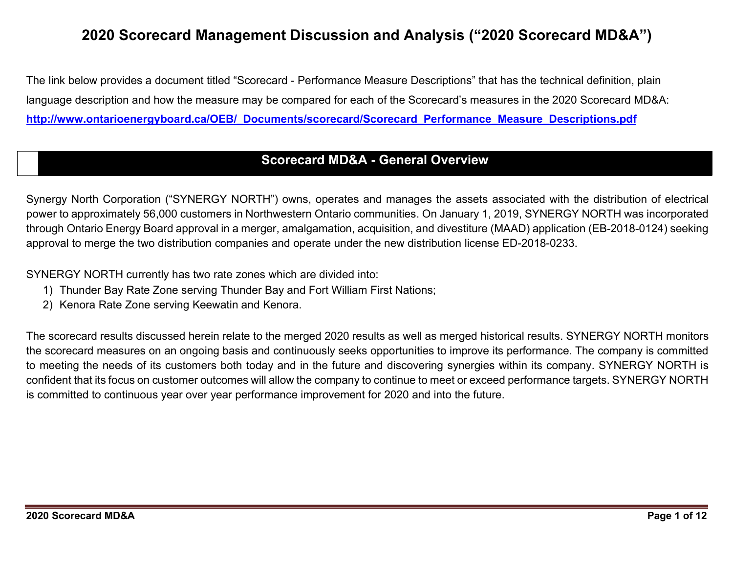# 2020 Scorecard Management Discussion and Analysis ("2020 Scorecard MD&A")

The link below provides a document titled "Scorecard - Performance Measure Descriptions" that has the technical definition, plain language description and how the measure may be compared for each of the Scorecard's measures in the 2020 Scorecard MD&A: http://www.ontarioenergyboard.ca/OEB/\_Documents/scorecard/Scorecard\_Performance\_Measure\_Descriptions.pdf

# Scorecard MD&A - General Overview

Synergy North Corporation ("SYNERGY NORTH") owns, operates and manages the assets associated with the distribution of electrical power to approximately 56,000 customers in Northwestern Ontario communities. On January 1, 2019, SYNERGY NORTH was incorporated through Ontario Energy Board approval in a merger, amalgamation, acquisition, and divestiture (MAAD) application (EB-2018-0124) seeking approval to merge the two distribution companies and operate under the new distribution license ED-2018-0233.

SYNERGY NORTH currently has two rate zones which are divided into:

- 1) Thunder Bay Rate Zone serving Thunder Bay and Fort William First Nations;
- 2) Kenora Rate Zone serving Keewatin and Kenora.

The scorecard results discussed herein relate to the merged 2020 results as well as merged historical results. SYNERGY NORTH monitors the scorecard measures on an ongoing basis and continuously seeks opportunities to improve its performance. The company is committed to meeting the needs of its customers both today and in the future and discovering synergies within its company. SYNERGY NORTH is confident that its focus on customer outcomes will allow the company to continue to meet or exceed performance targets. SYNERGY NORTH is committed to continuous year over year performance improvement for 2020 and into the future.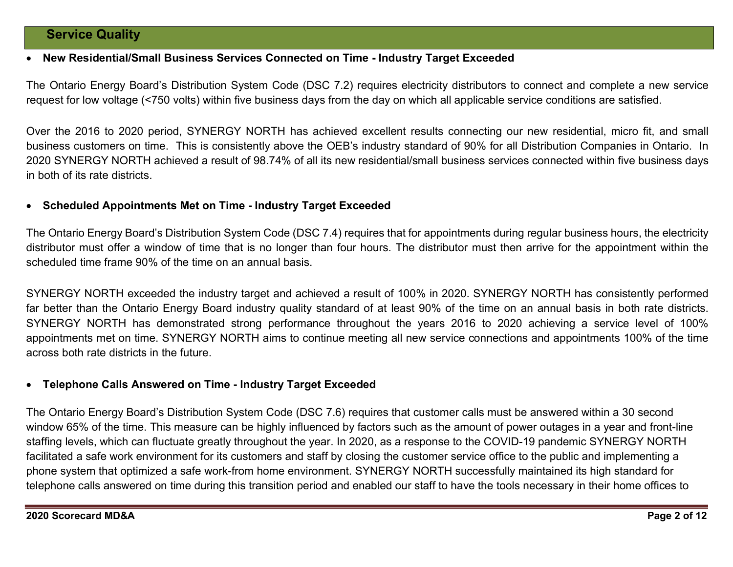## Service Quality

#### New Residential/Small Business Services Connected on Time - Industry Target Exceeded

The Ontario Energy Board's Distribution System Code (DSC 7.2) requires electricity distributors to connect and complete a new service request for low voltage (<750 volts) within five business days from the day on which all applicable service conditions are satisfied.

Over the 2016 to 2020 period, SYNERGY NORTH has achieved excellent results connecting our new residential, micro fit, and small business customers on time. This is consistently above the OEB's industry standard of 90% for all Distribution Companies in Ontario. In 2020 SYNERGY NORTH achieved a result of 98.74% of all its new residential/small business services connected within five business days in both of its rate districts.

#### Scheduled Appointments Met on Time - Industry Target Exceeded

The Ontario Energy Board's Distribution System Code (DSC 7.4) requires that for appointments during regular business hours, the electricity distributor must offer a window of time that is no longer than four hours. The distributor must then arrive for the appointment within the scheduled time frame 90% of the time on an annual basis.

SYNERGY NORTH exceeded the industry target and achieved a result of 100% in 2020. SYNERGY NORTH has consistently performed far better than the Ontario Energy Board industry quality standard of at least 90% of the time on an annual basis in both rate districts. SYNERGY NORTH has demonstrated strong performance throughout the years 2016 to 2020 achieving a service level of 100% appointments met on time. SYNERGY NORTH aims to continue meeting all new service connections and appointments 100% of the time across both rate districts in the future.

#### Telephone Calls Answered on Time - Industry Target Exceeded

The Ontario Energy Board's Distribution System Code (DSC 7.6) requires that customer calls must be answered within a 30 second window 65% of the time. This measure can be highly influenced by factors such as the amount of power outages in a year and front-line staffing levels, which can fluctuate greatly throughout the year. In 2020, as a response to the COVID-19 pandemic SYNERGY NORTH facilitated a safe work environment for its customers and staff by closing the customer service office to the public and implementing a phone system that optimized a safe work-from home environment. SYNERGY NORTH successfully maintained its high standard for telephone calls answered on time during this transition period and enabled our staff to have the tools necessary in their home offices to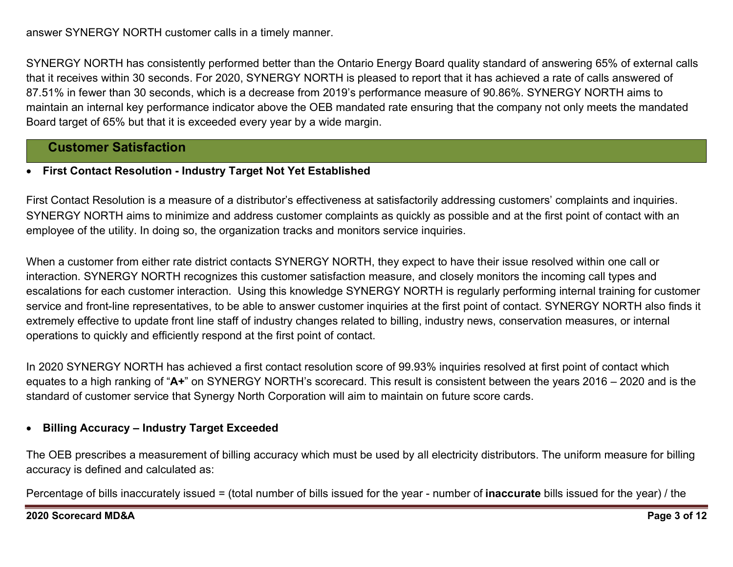SYNERGY NORTH has consistently performed better than the Ontario Energy Board quality standard of answering 65% of external calls that it receives within 30 seconds. For 2020, SYNERGY NORTH is pleased to report that it has achieved a rate of calls answered of 87.51% in fewer than 30 seconds, which is a decrease from 2019's performance measure of 90.86%. SYNERGY NORTH aims to maintain an internal key performance indicator above the OEB mandated rate ensuring that the company not only meets the mandated Board target of 65% but that it is exceeded every year by a wide margin.

# Customer Satisfaction

## First Contact Resolution - Industry Target Not Yet Established

First Contact Resolution is a measure of a distributor's effectiveness at satisfactorily addressing customers' complaints and inquiries. SYNERGY NORTH aims to minimize and address customer complaints as quickly as possible and at the first point of contact with an employee of the utility. In doing so, the organization tracks and monitors service inquiries.

When a customer from either rate district contacts SYNERGY NORTH, they expect to have their issue resolved within one call or interaction. SYNERGY NORTH recognizes this customer satisfaction measure, and closely monitors the incoming call types and escalations for each customer interaction. Using this knowledge SYNERGY NORTH is regularly performing internal training for customer service and front-line representatives, to be able to answer customer inquiries at the first point of contact. SYNERGY NORTH also finds it extremely effective to update front line staff of industry changes related to billing, industry news, conservation measures, or internal operations to quickly and efficiently respond at the first point of contact.

In 2020 SYNERGY NORTH has achieved a first contact resolution score of 99.93% inquiries resolved at first point of contact which equates to a high ranking of "A+" on SYNERGY NORTH's scorecard. This result is consistent between the years 2016 – 2020 and is the standard of customer service that Synergy North Corporation will aim to maintain on future score cards.

# Billing Accuracy – Industry Target Exceeded

The OEB prescribes a measurement of billing accuracy which must be used by all electricity distributors. The uniform measure for billing accuracy is defined and calculated as:

Percentage of bills inaccurately issued = (total number of bills issued for the year - number of **inaccurate** bills issued for the year) / the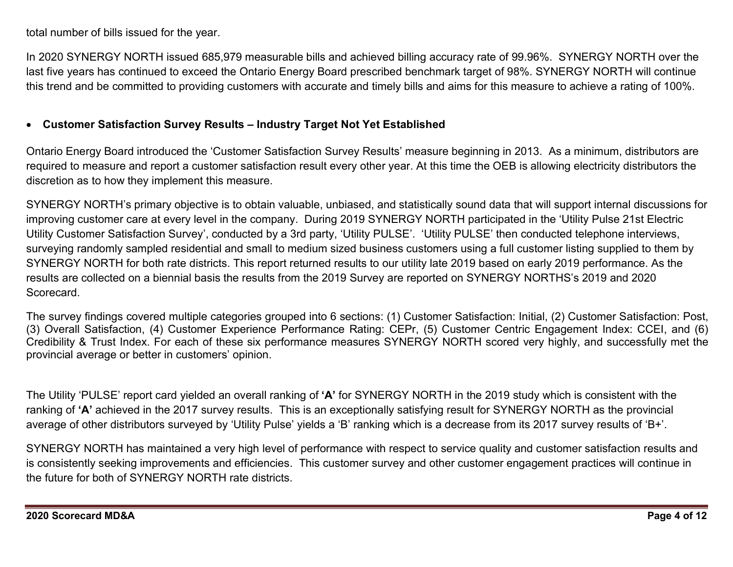total number of bills issued for the year.

In 2020 SYNERGY NORTH issued 685,979 measurable bills and achieved billing accuracy rate of 99.96%. SYNERGY NORTH over the last five years has continued to exceed the Ontario Energy Board prescribed benchmark target of 98%. SYNERGY NORTH will continue this trend and be committed to providing customers with accurate and timely bills and aims for this measure to achieve a rating of 100%.

## Customer Satisfaction Survey Results – Industry Target Not Yet Established

Ontario Energy Board introduced the 'Customer Satisfaction Survey Results' measure beginning in 2013. As a minimum, distributors are required to measure and report a customer satisfaction result every other year. At this time the OEB is allowing electricity distributors the discretion as to how they implement this measure.

SYNERGY NORTH's primary objective is to obtain valuable, unbiased, and statistically sound data that will support internal discussions for improving customer care at every level in the company. During 2019 SYNERGY NORTH participated in the 'Utility Pulse 21st Electric Utility Customer Satisfaction Survey', conducted by a 3rd party, 'Utility PULSE'. 'Utility PULSE' then conducted telephone interviews, surveying randomly sampled residential and small to medium sized business customers using a full customer listing supplied to them by SYNERGY NORTH for both rate districts. This report returned results to our utility late 2019 based on early 2019 performance. As the results are collected on a biennial basis the results from the 2019 Survey are reported on SYNERGY NORTHS's 2019 and 2020 Scorecard.

The survey findings covered multiple categories grouped into 6 sections: (1) Customer Satisfaction: Initial, (2) Customer Satisfaction: Post, (3) Overall Satisfaction, (4) Customer Experience Performance Rating: CEPr, (5) Customer Centric Engagement Index: CCEI, and (6) Credibility & Trust Index. For each of these six performance measures SYNERGY NORTH scored very highly, and successfully met the provincial average or better in customers' opinion.

The Utility 'PULSE' report card yielded an overall ranking of 'A' for SYNERGY NORTH in the 2019 study which is consistent with the ranking of 'A' achieved in the 2017 survey results. This is an exceptionally satisfying result for SYNERGY NORTH as the provincial average of other distributors surveyed by 'Utility Pulse' yields a 'B' ranking which is a decrease from its 2017 survey results of 'B+'.

SYNERGY NORTH has maintained a very high level of performance with respect to service quality and customer satisfaction results and is consistently seeking improvements and efficiencies. This customer survey and other customer engagement practices will continue in the future for both of SYNERGY NORTH rate districts.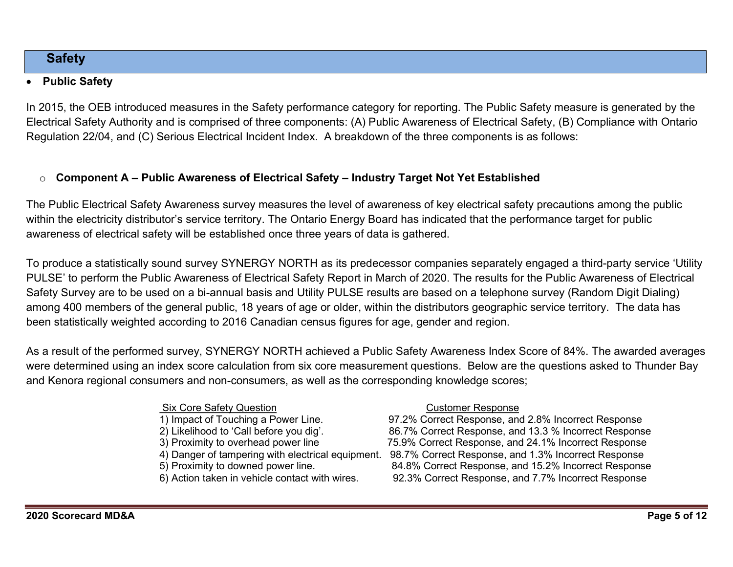# **Safety**

## Public Safety

In 2015, the OEB introduced measures in the Safety performance category for reporting. The Public Safety measure is generated by the Electrical Safety Authority and is comprised of three components: (A) Public Awareness of Electrical Safety, (B) Compliance with Ontario Regulation 22/04, and (C) Serious Electrical Incident Index. A breakdown of the three components is as follows:

# $\circ$  Component A – Public Awareness of Electrical Safety – Industry Target Not Yet Established

The Public Electrical Safety Awareness survey measures the level of awareness of key electrical safety precautions among the public within the electricity distributor's service territory. The Ontario Energy Board has indicated that the performance target for public awareness of electrical safety will be established once three years of data is gathered.

To produce a statistically sound survey SYNERGY NORTH as its predecessor companies separately engaged a third-party service 'Utility PULSE' to perform the Public Awareness of Electrical Safety Report in March of 2020. The results for the Public Awareness of Electrical Safety Survey are to be used on a bi-annual basis and Utility PULSE results are based on a telephone survey (Random Digit Dialing) among 400 members of the general public, 18 years of age or older, within the distributors geographic service territory. The data has been statistically weighted according to 2016 Canadian census figures for age, gender and region.

As a result of the performed survey, SYNERGY NORTH achieved a Public Safety Awareness Index Score of 84%. The awarded averages were determined using an index score calculation from six core measurement questions. Below are the questions asked to Thunder Bay and Kenora regional consumers and non-consumers, as well as the corresponding knowledge scores;

## Six Core Safety Question Customer Response

- 
- 
- 
- 
- 
- 

1) Impact of Touching a Power Line. 97.2% Correct Response, and 2.8% Incorrect Response 2) Likelihood to 'Call before you dig'. 86.7% Correct Response, and 13.3 % Incorrect Response 3) Proximity to overhead power line 75.9% Correct Response, and 24.1% Incorrect Response 4) Danger of tampering with electrical equipment. 98.7% Correct Response, and 1.3% Incorrect Response<br>5) Proximity to downed power line. 84.8% Correct Response, and 15.2% Incorrect Respons 5) Proximity to downed power line.<br>
6) Action taken in vehicle contact with wires. 
92.3% Correct Response, and 7.7% Incorrect Response 92.3% Correct Response, and 7.7% Incorrect Response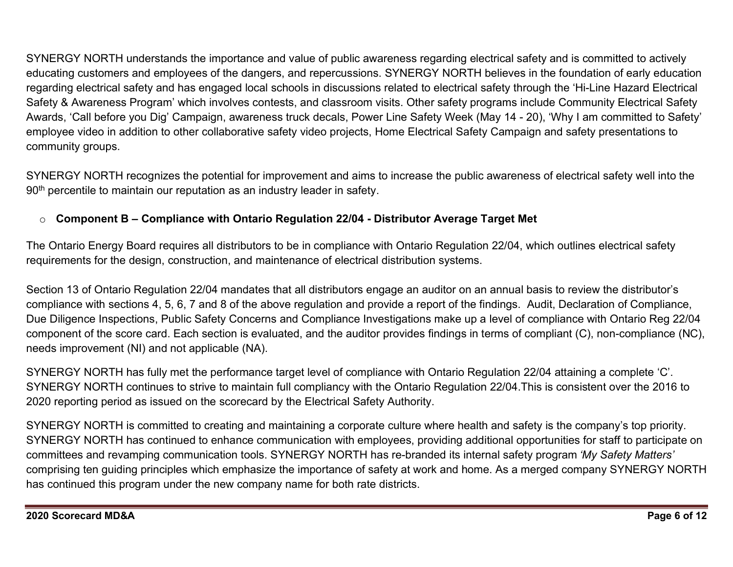SYNERGY NORTH understands the importance and value of public awareness regarding electrical safety and is committed to actively educating customers and employees of the dangers, and repercussions. SYNERGY NORTH believes in the foundation of early education regarding electrical safety and has engaged local schools in discussions related to electrical safety through the 'Hi-Line Hazard Electrical Safety & Awareness Program' which involves contests, and classroom visits. Other safety programs include Community Electrical Safety Awards, 'Call before you Dig' Campaign, awareness truck decals, Power Line Safety Week (May 14 - 20), 'Why I am committed to Safety' employee video in addition to other collaborative safety video projects, Home Electrical Safety Campaign and safety presentations to community groups.

SYNERGY NORTH recognizes the potential for improvement and aims to increase the public awareness of electrical safety well into the 90<sup>th</sup> percentile to maintain our reputation as an industry leader in safety.

# $\circ$  Component B – Compliance with Ontario Regulation 22/04 - Distributor Average Target Met

The Ontario Energy Board requires all distributors to be in compliance with Ontario Regulation 22/04, which outlines electrical safety requirements for the design, construction, and maintenance of electrical distribution systems.

Section 13 of Ontario Regulation 22/04 mandates that all distributors engage an auditor on an annual basis to review the distributor's compliance with sections 4, 5, 6, 7 and 8 of the above regulation and provide a report of the findings. Audit, Declaration of Compliance, Due Diligence Inspections, Public Safety Concerns and Compliance Investigations make up a level of compliance with Ontario Reg 22/04 component of the score card. Each section is evaluated, and the auditor provides findings in terms of compliant (C), non-compliance (NC), needs improvement (NI) and not applicable (NA).

SYNERGY NORTH has fully met the performance target level of compliance with Ontario Regulation 22/04 attaining a complete 'C'. SYNERGY NORTH continues to strive to maintain full compliancy with the Ontario Regulation 22/04.This is consistent over the 2016 to 2020 reporting period as issued on the scorecard by the Electrical Safety Authority.

SYNERGY NORTH is committed to creating and maintaining a corporate culture where health and safety is the company's top priority. SYNERGY NORTH has continued to enhance communication with employees, providing additional opportunities for staff to participate on committees and revamping communication tools. SYNERGY NORTH has re-branded its internal safety program 'My Safety Matters' comprising ten guiding principles which emphasize the importance of safety at work and home. As a merged company SYNERGY NORTH has continued this program under the new company name for both rate districts.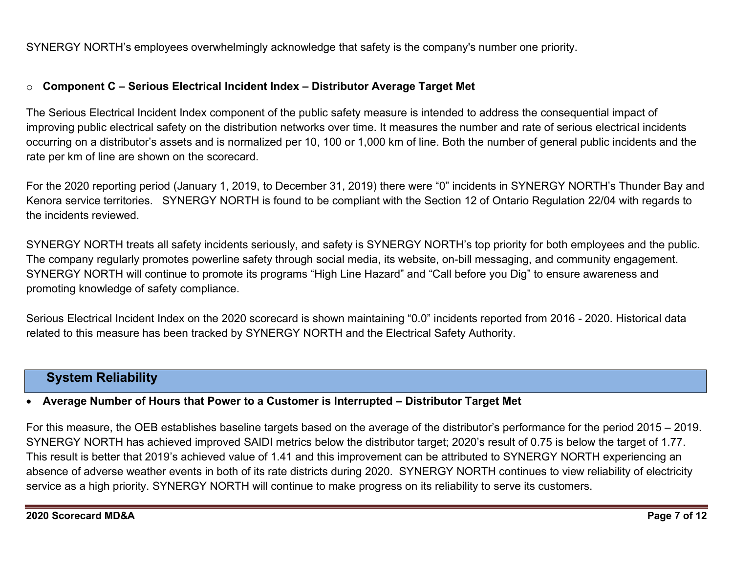SYNERGY NORTH's employees overwhelmingly acknowledge that safety is the company's number one priority.

## $\circ$  Component C – Serious Electrical Incident Index – Distributor Average Target Met

The Serious Electrical Incident Index component of the public safety measure is intended to address the consequential impact of improving public electrical safety on the distribution networks over time. It measures the number and rate of serious electrical incidents occurring on a distributor's assets and is normalized per 10, 100 or 1,000 km of line. Both the number of general public incidents and the rate per km of line are shown on the scorecard.

For the 2020 reporting period (January 1, 2019, to December 31, 2019) there were "0" incidents in SYNERGY NORTH's Thunder Bay and Kenora service territories. SYNERGY NORTH is found to be compliant with the Section 12 of Ontario Regulation 22/04 with regards to the incidents reviewed.

SYNERGY NORTH treats all safety incidents seriously, and safety is SYNERGY NORTH's top priority for both employees and the public. The company regularly promotes powerline safety through social media, its website, on-bill messaging, and community engagement. SYNERGY NORTH will continue to promote its programs "High Line Hazard" and "Call before you Dig" to ensure awareness and promoting knowledge of safety compliance.

Serious Electrical Incident Index on the 2020 scorecard is shown maintaining "0.0" incidents reported from 2016 - 2020. Historical data related to this measure has been tracked by SYNERGY NORTH and the Electrical Safety Authority.

# System Reliability

## Average Number of Hours that Power to a Customer is Interrupted – Distributor Target Met

For this measure, the OEB establishes baseline targets based on the average of the distributor's performance for the period 2015 – 2019. SYNERGY NORTH has achieved improved SAIDI metrics below the distributor target; 2020's result of 0.75 is below the target of 1.77. This result is better that 2019's achieved value of 1.41 and this improvement can be attributed to SYNERGY NORTH experiencing an absence of adverse weather events in both of its rate districts during 2020. SYNERGY NORTH continues to view reliability of electricity service as a high priority. SYNERGY NORTH will continue to make progress on its reliability to serve its customers.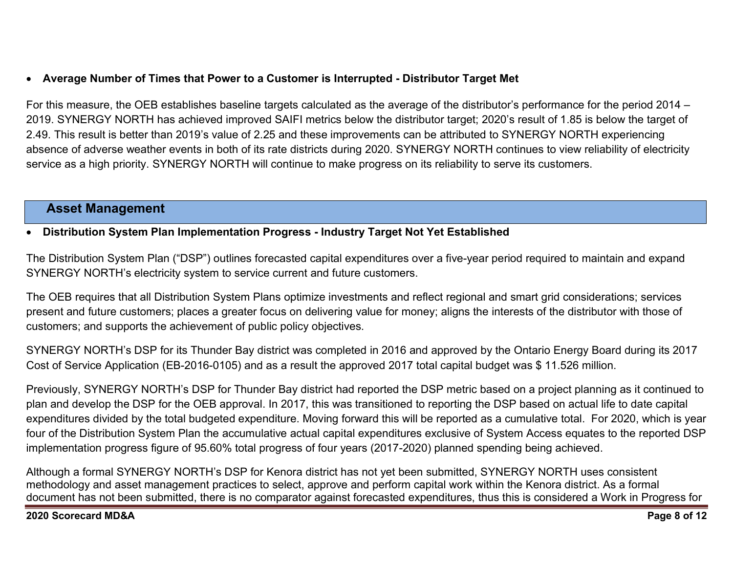# Average Number of Times that Power to a Customer is Interrupted - Distributor Target Met

For this measure, the OEB establishes baseline targets calculated as the average of the distributor's performance for the period 2014 – 2019. SYNERGY NORTH has achieved improved SAIFI metrics below the distributor target; 2020's result of 1.85 is below the target of 2.49. This result is better than 2019's value of 2.25 and these improvements can be attributed to SYNERGY NORTH experiencing absence of adverse weather events in both of its rate districts during 2020. SYNERGY NORTH continues to view reliability of electricity service as a high priority. SYNERGY NORTH will continue to make progress on its reliability to serve its customers.

# Asset Management

## Distribution System Plan Implementation Progress - Industry Target Not Yet Established

The Distribution System Plan ("DSP") outlines forecasted capital expenditures over a five-year period required to maintain and expand SYNERGY NORTH's electricity system to service current and future customers.

The OEB requires that all Distribution System Plans optimize investments and reflect regional and smart grid considerations; services present and future customers; places a greater focus on delivering value for money; aligns the interests of the distributor with those of customers; and supports the achievement of public policy objectives.

SYNERGY NORTH's DSP for its Thunder Bay district was completed in 2016 and approved by the Ontario Energy Board during its 2017 Cost of Service Application (EB-2016-0105) and as a result the approved 2017 total capital budget was \$ 11.526 million.

Previously, SYNERGY NORTH's DSP for Thunder Bay district had reported the DSP metric based on a project planning as it continued to plan and develop the DSP for the OEB approval. In 2017, this was transitioned to reporting the DSP based on actual life to date capital expenditures divided by the total budgeted expenditure. Moving forward this will be reported as a cumulative total. For 2020, which is year four of the Distribution System Plan the accumulative actual capital expenditures exclusive of System Access equates to the reported DSP implementation progress figure of 95.60% total progress of four years (2017-2020) planned spending being achieved.

Although a formal SYNERGY NORTH's DSP for Kenora district has not yet been submitted, SYNERGY NORTH uses consistent methodology and asset management practices to select, approve and perform capital work within the Kenora district. As a formal document has not been submitted, there is no comparator against forecasted expenditures, thus this is considered a Work in Progress for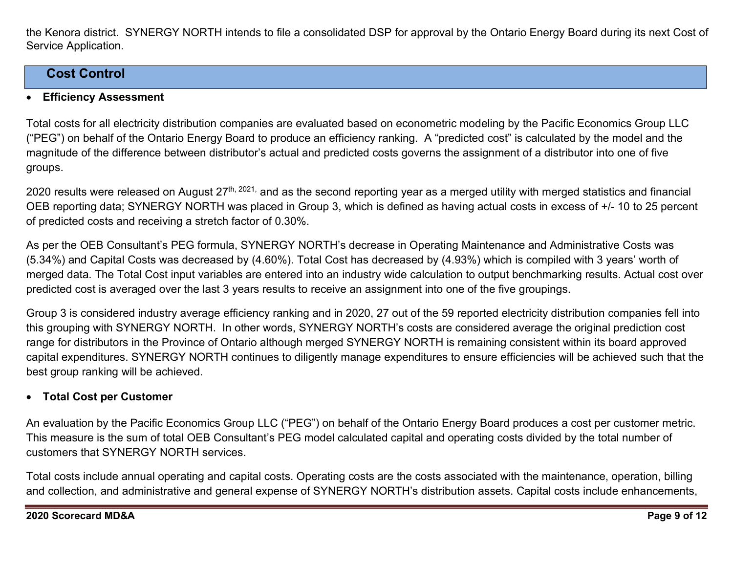the Kenora district. SYNERGY NORTH intends to file a consolidated DSP for approval by the Ontario Energy Board during its next Cost of Service Application.

# Cost Control

## Efficiency Assessment

Total costs for all electricity distribution companies are evaluated based on econometric modeling by the Pacific Economics Group LLC ("PEG") on behalf of the Ontario Energy Board to produce an efficiency ranking. A "predicted cost" is calculated by the model and the magnitude of the difference between distributor's actual and predicted costs governs the assignment of a distributor into one of five groups.

2020 results were released on August 27<sup>th, 2021,</sup> and as the second reporting year as a merged utility with merged statistics and financial OEB reporting data; SYNERGY NORTH was placed in Group 3, which is defined as having actual costs in excess of +/- 10 to 25 percent of predicted costs and receiving a stretch factor of 0.30%.

As per the OEB Consultant's PEG formula, SYNERGY NORTH's decrease in Operating Maintenance and Administrative Costs was (5.34%) and Capital Costs was decreased by (4.60%). Total Cost has decreased by (4.93%) which is compiled with 3 years' worth of merged data. The Total Cost input variables are entered into an industry wide calculation to output benchmarking results. Actual cost over predicted cost is averaged over the last 3 years results to receive an assignment into one of the five groupings.

Group 3 is considered industry average efficiency ranking and in 2020, 27 out of the 59 reported electricity distribution companies fell into this grouping with SYNERGY NORTH. In other words, SYNERGY NORTH's costs are considered average the original prediction cost range for distributors in the Province of Ontario although merged SYNERGY NORTH is remaining consistent within its board approved capital expenditures. SYNERGY NORTH continues to diligently manage expenditures to ensure efficiencies will be achieved such that the best group ranking will be achieved.

## Total Cost per Customer

An evaluation by the Pacific Economics Group LLC ("PEG") on behalf of the Ontario Energy Board produces a cost per customer metric. This measure is the sum of total OEB Consultant's PEG model calculated capital and operating costs divided by the total number of customers that SYNERGY NORTH services.

Total costs include annual operating and capital costs. Operating costs are the costs associated with the maintenance, operation, billing and collection, and administrative and general expense of SYNERGY NORTH's distribution assets. Capital costs include enhancements,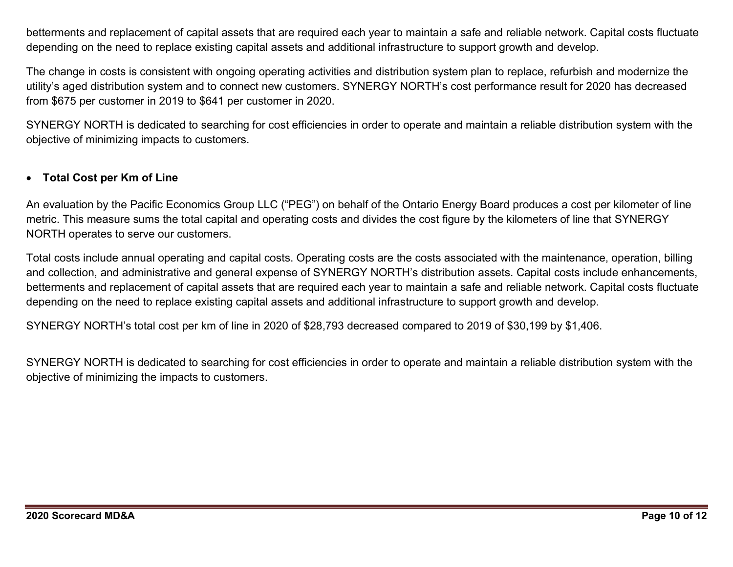betterments and replacement of capital assets that are required each year to maintain a safe and reliable network. Capital costs fluctuate depending on the need to replace existing capital assets and additional infrastructure to support growth and develop.

The change in costs is consistent with ongoing operating activities and distribution system plan to replace, refurbish and modernize the utility's aged distribution system and to connect new customers. SYNERGY NORTH's cost performance result for 2020 has decreased from \$675 per customer in 2019 to \$641 per customer in 2020.

SYNERGY NORTH is dedicated to searching for cost efficiencies in order to operate and maintain a reliable distribution system with the objective of minimizing impacts to customers.

## Total Cost per Km of Line

An evaluation by the Pacific Economics Group LLC ("PEG") on behalf of the Ontario Energy Board produces a cost per kilometer of line metric. This measure sums the total capital and operating costs and divides the cost figure by the kilometers of line that SYNERGY NORTH operates to serve our customers.

Total costs include annual operating and capital costs. Operating costs are the costs associated with the maintenance, operation, billing and collection, and administrative and general expense of SYNERGY NORTH's distribution assets. Capital costs include enhancements, betterments and replacement of capital assets that are required each year to maintain a safe and reliable network. Capital costs fluctuate depending on the need to replace existing capital assets and additional infrastructure to support growth and develop.

SYNERGY NORTH's total cost per km of line in 2020 of \$28,793 decreased compared to 2019 of \$30,199 by \$1,406.

SYNERGY NORTH is dedicated to searching for cost efficiencies in order to operate and maintain a reliable distribution system with the objective of minimizing the impacts to customers.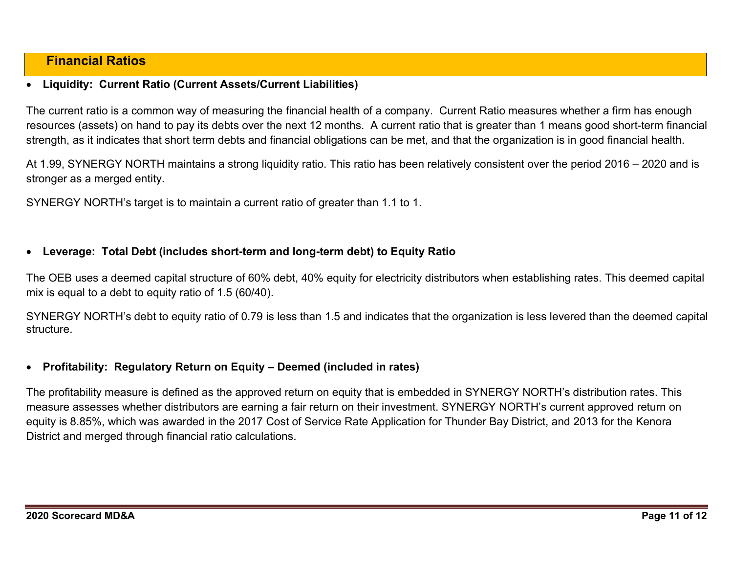# Financial Ratios

## Liquidity: Current Ratio (Current Assets/Current Liabilities)

The current ratio is a common way of measuring the financial health of a company. Current Ratio measures whether a firm has enough resources (assets) on hand to pay its debts over the next 12 months. A current ratio that is greater than 1 means good short-term financial strength, as it indicates that short term debts and financial obligations can be met, and that the organization is in good financial health.

At 1.99, SYNERGY NORTH maintains a strong liquidity ratio. This ratio has been relatively consistent over the period 2016 – 2020 and is stronger as a merged entity.

SYNERGY NORTH's target is to maintain a current ratio of greater than 1.1 to 1.

## Leverage: Total Debt (includes short-term and long-term debt) to Equity Ratio

The OEB uses a deemed capital structure of 60% debt, 40% equity for electricity distributors when establishing rates. This deemed capital mix is equal to a debt to equity ratio of 1.5 (60/40).

SYNERGY NORTH's debt to equity ratio of 0.79 is less than 1.5 and indicates that the organization is less levered than the deemed capital structure.

## Profitability: Regulatory Return on Equity – Deemed (included in rates)

The profitability measure is defined as the approved return on equity that is embedded in SYNERGY NORTH's distribution rates. This measure assesses whether distributors are earning a fair return on their investment. SYNERGY NORTH's current approved return on equity is 8.85%, which was awarded in the 2017 Cost of Service Rate Application for Thunder Bay District, and 2013 for the Kenora District and merged through financial ratio calculations.